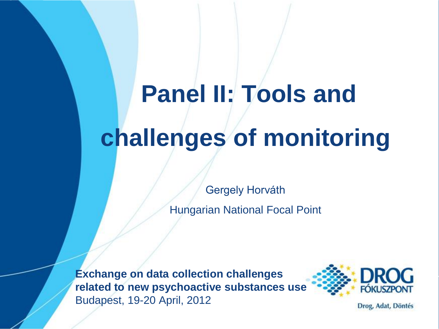# **Panel II: Tools and challenges of monitoring**

Gergely Horváth

Hungarian National Focal Point

**Exchange on data collection challenges related to new psychoactive substances use** Budapest, 19-20 April, 2012



Drog, Adat, Döntés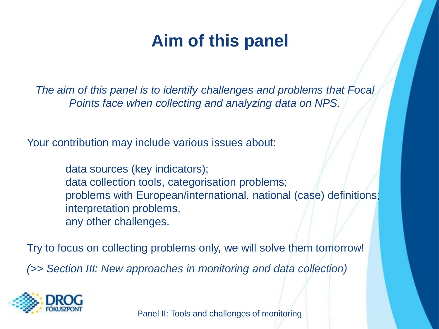### **Aim of this panel**

*The aim of this panel is to identify challenges and problems that Focal Points face when collecting and analyzing data on NPS.*

Your contribution may include various issues about:

data sources (key indicators); data collection tools, categorisation problems; problems with European/international, national (case) definitions; interpretation problems, any other challenges.

Try to focus on collecting problems only, we will solve them tomorrow! *(>> Section III: New approaches in monitoring and data collection)*

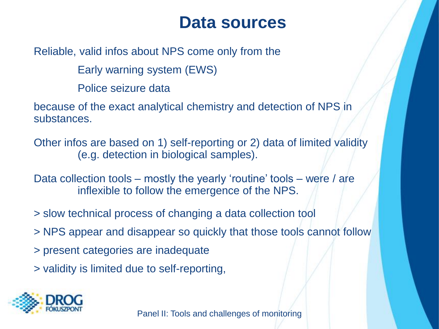### **Data sources**

Reliable, valid infos about NPS come only from the

Early warning system (EWS)

Police seizure data

because of the exact analytical chemistry and detection of NPS in substances.

Other infos are based on 1) self-reporting or 2) data of limited validity (e.g. detection in biological samples).

Data collection tools – mostly the yearly 'routine' tools – were / are inflexible to follow the emergence of the NPS.

- > slow technical process of changing a data collection tool
- > NPS appear and disappear so quickly that those tools cannot follow
- > present categories are inadequate
- > validity is limited due to self-reporting,

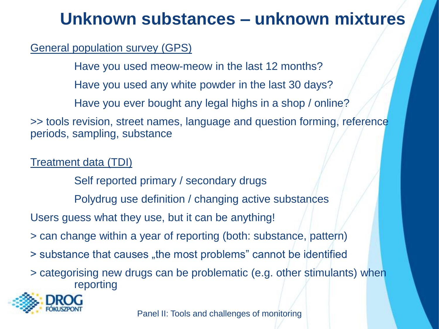### **Unknown substances – unknown mixtures**

#### General population survey (GPS)

Have you used meow-meow in the last 12 months? Have you used any white powder in the last 30 days? Have you ever bought any legal highs in a shop / online?

>> tools revision, street names, language and question forming, reference periods, sampling, substance

Treatment data (TDI)

Self reported primary / secondary drugs

Polydrug use definition / changing active substances

Users guess what they use, but it can be anything!

> can change within a year of reporting (both: substance, pattern)

 $\geq$  substance that causes "the most problems" cannot be identified

> categorising new drugs can be problematic (e.g. other stimulants) when reporting

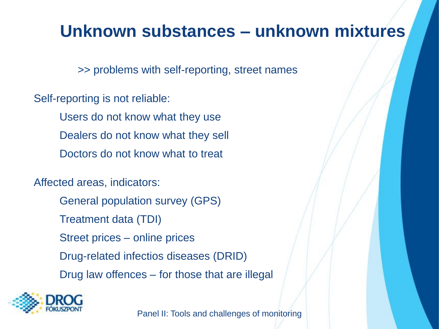### **Unknown substances – unknown mixtures**

>> problems with self-reporting, street names

Self-reporting is not reliable:

Users do not know what they use Dealers do not know what they sell Doctors do not know what to treat

Affected areas, indicators:

General population survey (GPS) Treatment data (TDI) Street prices – online prices Drug-related infectios diseases (DRID) Drug law offences – for those that are illegal

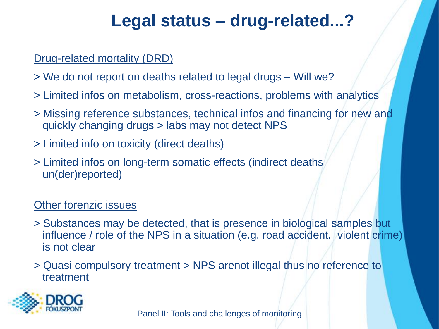### **Legal status – drug-related...?**

#### Drug-related mortality (DRD)

- > We do not report on deaths related to legal drugs Will we?
- > Limited infos on metabolism, cross-reactions, problems with analytics
- > Missing reference substances, technical infos and financing for new and quickly changing drugs > labs may not detect NPS
- > Limited info on toxicity (direct deaths)
- > Limited infos on long-term somatic effects (indirect deaths un(der)reported)

#### **Other forenzic issues**

- > Substances may be detected, that is presence in biological samples but influence / role of the NPS in a situation (e.g. road accident, violent crime) is not clear
- > Quasi compulsory treatment > NPS arenot illegal thus no reference to treatment

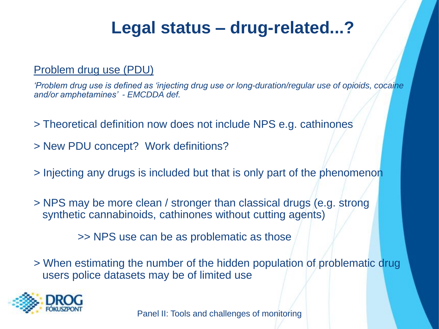### **Legal status – drug-related...?**

#### Problem drug use (PDU)

*'Problem drug use is defined as 'injecting drug use or long-duration/regular use of opioids, cocaine and/or amphetamines' - EMCDDA def.* 

- > Theoretical definition now does not include NPS e.g. cathinones
- > New PDU concept? Work definitions?
- > Injecting any drugs is included but that is only part of the phenomenon

> NPS may be more clean / stronger than classical drugs (e.g. strong synthetic cannabinoids, cathinones without cutting agents)

>> NPS use can be as problematic as those

> When estimating the number of the hidden population of problematic drug users police datasets may be of limited use

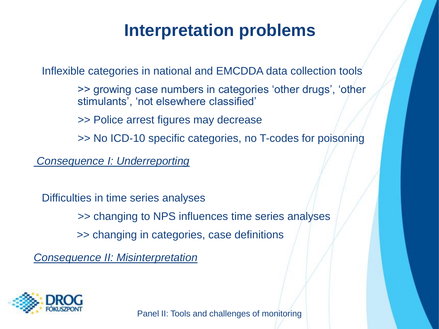### **Interpretation problems**

Inflexible categories in national and EMCDDA data collection tools

>> growing case numbers in categories 'other drugs', 'other stimulants', 'not elsewhere classified'

>> Police arrest figures may decrease

>> No ICD-10 specific categories, no T-codes for poisoning

*Consequence I: Underreporting*

Difficulties in time series analyses >> changing to NPS influences time series analyses >> changing in categories, case definitions

*Consequence II: Misinterpretation* 

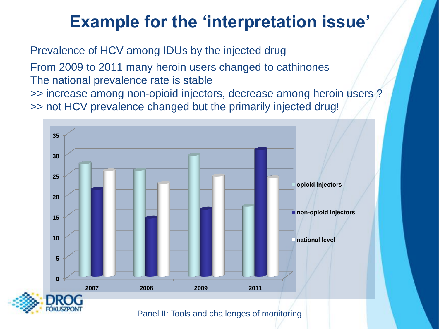### **Example for the 'interpretation issue'**

Prevalence of HCV among IDUs by the injected drug From 2009 to 2011 many heroin users changed to cathinones The national prevalence rate is stable >> increase among non-opioid injectors, decrease among heroin users ? >> not HCV prevalence changed but the primarily injected drug!

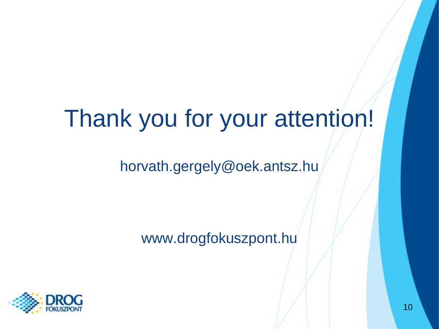## Thank you for your attention!

horvath.gergely@oek.antsz.hu

www.drogfokuszpont.hu